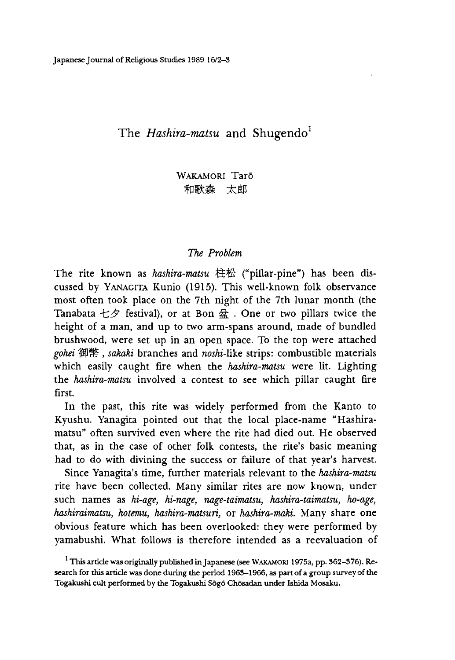# The *Hashira-matsu* and Shugendo<sup>1</sup>

WAKAMORI Tarō 和歌森 太郎

### *The Problem*

The rite known as *hashira-matsu* 柱 松 ("pillar-pine"〉has been discussed by Yanagita Kunio (1915). This well-known folk observance most often took place on the 7th night of the 7th lunar month (the Tanabata 七夕 festival), or at Bon 盆. One or two pillars twice the height of a man, and up to two arm-spans around, made of bundled brushwood, were set up in an open space. To the top were attached *gohei* 御幣*,sakaki* branches and nosh-like strips: combustible materials which easily caught fire when the *hashira-matsu* were lit. Lighting the *hashira-matsu* involved a contest to see which pillar caught fire first.

In the past, this rite was widely performed from the Kanto to Kyushu. Yanagita pointed out that the local place-name "Hashiramatsu" often survived even where the rite had died out. He observed that, as in the case of other folk contests, the rite's basic meaning had to do with divining the success or failure of that year's harvest.

Since Yanagita's time, further materials relevant to the *hashira-matsu* rite have been collected. Many similar rites are now known, under such names as *hi-age hi-nage nage-taimatsu, hashira-taimatsu, ho-age, hashiraimatsu, hotemu, hashira-matsuri,* or *hashira-maki.* Many share one obvious feature which has been overlooked: they were performed by yamabushi. What follows is therefore intended as a reevaluation of

 $^{\rm 1}$  This article was originally published in Japanese (see WAKAMORI 1975a, pp. 362–376). Research for this article was done during the period 1965-1966, as part of a group survey of the Togakushi cult performed by the Togakushi Sōgō Chōsadan under Ishida Mosaku.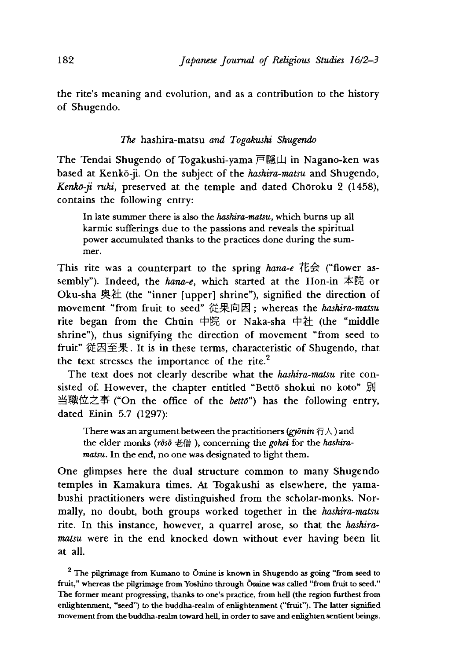the rite's meaning and evolution, and as a contribution to the history of Shugendo.

*The* hashira-matsu *and Togakushi Shugendo*

The Tendai Shugendo of Togakushi-yama 戸隠山 in Nagano-ken was based at Kenko-ji. On the subject of the *hashira-matsu* and Shugendo, Kenkō-ji ruki, preserved at the temple and dated Chōroku 2 (1458), contains the following entry:

In late summer there is also the *hashira-matsu,* which burns up all karmic sufferings due to the passions and reveals the spiritual power accumulated thanks to the practices done during the summer.

This rite was a counterpart to the spring *hana-e* 花会 ("flower assembly"〉. Indeed, the *hana-e*,which started at the Hon-in 本院 or Oku-sha 奥社 (the "inner [upper] shrine"), signified the direction of movement "from fruit to seed" 従果向因; whereas the *hashira-matsu* rite began from the Chūin 中院 or Naka-sha 中社 (the "middle shrine"), thus signifying the direction of movement "from seed to fruit" 従因至果. It is in these terms, characteristic of Shugendo, that the text stresses the importance of the rite.<sup>2</sup>

The text does not clearly describe what the *hashira-matsu* rite consisted of. However, the chapter entitled "Bettō shokui no koto" 別 当職位之事("On the office of the *bettd")* has the following entry, dated Einin 5.7 (1297):

There was an argument between the practitioners *(gydnin* 行人)and the elder monks (rōsō 老僧), concerning the *gohei* for the *hashiramatsu.* In the end, no one was designated to light them.

One glimpses here the dual structure common to many Shugendo temples in Kamakura times. At Togakushi as elsewhere, the yamabushi practitioners were distinguished from the scholar-monks. Normally, no doubt, both groups worked together in the *hashira-matsu* rite. In this instance, however, a quarrel arose, so that the *hashiramatsu* were in the end knocked down without ever having been lit at all.

<sup>2</sup> The pilgrimage from Kumano to Ōmine is known in Shugendo as going "from seed to fruit," whereas the pilgrimage from Yoshino through Omine was called "from fruit to seed." The former meant progressing, thanks to one's practice, from hell (the region furthest from enlightenment, "seed") to the buddha-realm of enlightenment ("fruit"). The latter signified movement from the buddha-realm toward hell, in order to save and enlighten sentient beings.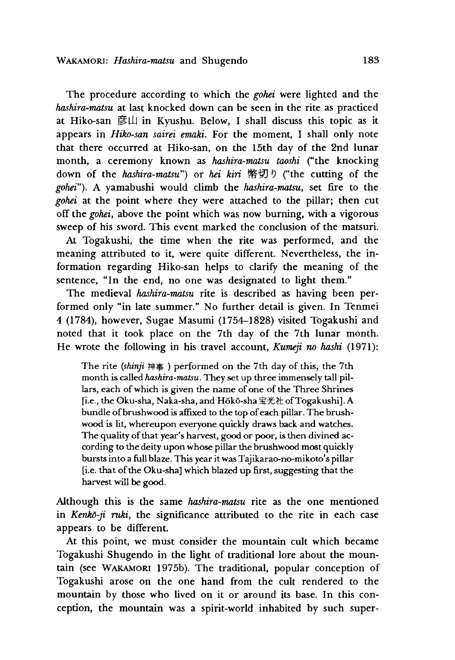The procedure according to which the *gohei* were lighted and the *hashira-matsu* at last knocked down can be seen in the rite as practiced at Hiko-san 彦山 in Kyushu. Below, I shall discuss this topic as it appears in *Htko-san sairei emaki.* For the moment, I shall only note that there occurred at Hiko-san, on the 15th day of the 2nd lunar month, a ceremony known as *hashira-matsu taoshi* ("the knocking down of the *hashira-matsu")* or *hei kiri* 幣切り("the cutting of the gohei"). A vamabushi would climb the *hashira-matsu*, set fire to the *gohei* at the point where they were attached to the pillar; then cut off the *gohei,* above the point which was now burning, with a vigorous sweep of his sword. This event marked the conclusion of the matsuri.

At Togakushi, the time when the rite was performed, and the meaning attributed to it, were quite different. Nevertheless, the information regarding Hiko-san helps to clarify the meaning of the sentence, "In the end, no one was designated to light them."

The medieval *hashira-matsu* rite is described as having been performed only "in late summer." No further detail is given. In Tenmei 4 (1784) however, Sugae Masumi (1754-1828) visited Togakushi and noted that it took place on the 7th day of the 7th lunar month. He wrote the following in his travel account, *Kumeji no hashi* (1971):

The rite *(shinji* 神事)performed on the 7th day of this, the 7th month is called *hashira-matsu.* They set up three immensely tall pillars, each of which is given the name of one of the Three Shrines [i.e., the Oku-sha, Naka-sha, and H6k6-sha宝光社 ofTogakushi]. A bundle of brushwood is affixed to the top of each pillar. The brushwood is lit, whereupon everyone quickly draws back and watches. The quality of that year's harvest, good or poor, is then divined according to the deity upon whose pillar the brushwood most quickly bursts into a full blaze. This year it was Tajikarao-no-mikoto's pillar [i.e. that of the Oku-sha] which blazed up first, suggesting that the harvest will be good.

Although this is the same *hashira-matsu* rite as the one mentioned in *Kenkō-ji ruki*, the significance attributed to the rite in each case appears to be different.

At this point, we must consider the mountain cult which became Togakushi Shugendo in the light of traditional lore about the mountain (see Wakamori 1975b). The traditional, popular conception of Togakushi arose on the one hand from the cult rendered to the mountain by those who lived on it or around its base. In this conception, the mountain was a spirit-world inhabited by such super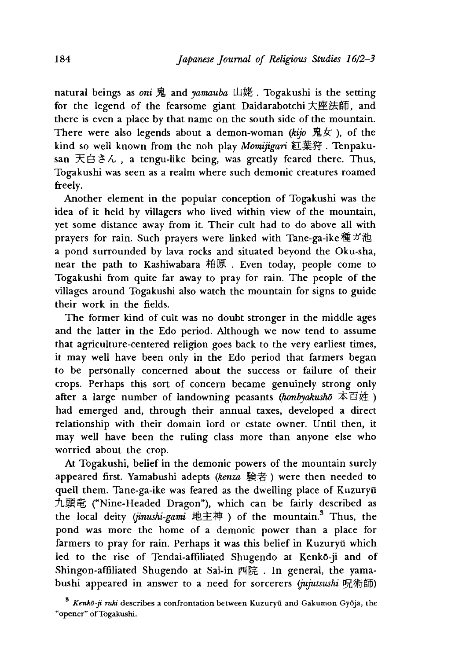natural beings as *oni* 鬼 and *yamauba* 山姥. Togakushi is the setting for the legend of the fearsome giant Daidarabotchi大座法師, and there is even a place by that name on the south side of the mountain. There were also legends about a demon-woman *(kijo* 鬼女), of the kind so well known from the noh play *Momijigari* 紅葉狩. Tenpakusan  $\overline{X}$   $\oplus$   $\stackrel{<}{\sim}$   $\land$  , a tengu-like being, was greatly feared there. Thus, Togakushi was seen as a realm where such demonic creatures roamed freely.

Another element in the popular conception of Togakushi was the idea of it held by villagers who lived within view of the mountain, yet some distance away from it Their cult had to do above all with prayers for rain. Such prayers were linked with Tane-ga-ike 種ガ池 a pond surrounded by lava rocks and situated beyond the Oku-sha, near the path to Kashiwabara 柏原. Even today, people come to Togakushi from quite far away to pray for rain. The people of the villages around Togakushi also watch the mountain for signs to guide their work in the fields.

The former kind of cult was no doubt stronger in the middle ages and the latter in the Edo period. Although we now tend to assume that agriculture-centered religion goes back to the very earliest times, it may well have been only in the Edo period that farmers began to be personally concerned about the success or failure of their crops. Perhaps this sort of concern became genuinely strong only after a large number of landowning peasants *(honbyakushō* 本百姓 ) had emerged and, through their annual taxes, developed a direct relationship with their domain lord or estate owner. Until then, it may well have been the ruling class more than anyone else who worried about the crop.

At Togakushi, belief in the demonic powers of the mountain surely appeared first. Yamabushi adepts *(kenza* 験者) were then needed to quell them. Tane-ga-ike was feared as the dwelling place of Kuzuryū 九頭竜 ("Nine-Headed Dragon"), which can be fairly described as the local deity *<jinushi-gami* 地主神)of the mountain.3 Thus, the pond was more the home of a demonic power than a place for farmers to pray for rain. Perhaps it was this belief in Kuzuryū which led to the rise of Tendai-affiliated Shugendo at Kenkō-ji and of Shingon-affiliated Shugendo at Sai-in 西院 . In general, the yamabushi appeared in answer to a need for sorcerers *(jujutsusni* 况術師)

<sup>&</sup>lt;sup>3</sup> Kenkō-ji ruki describes a confrontation between Kuzuryū and Gakumon Gyōja, the "opener" of Togakushi.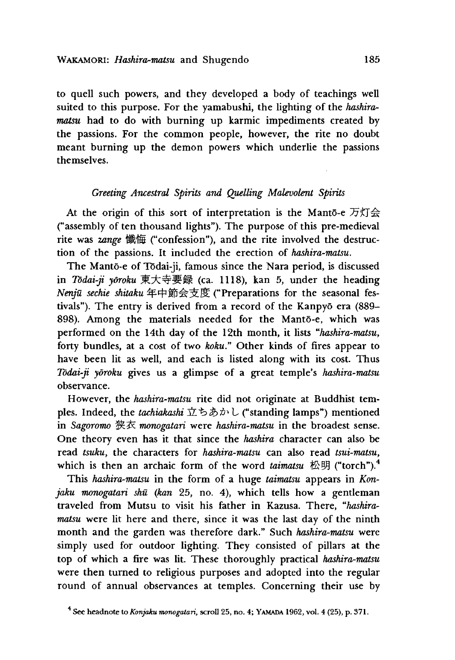to quell such powers, and they developed a body of teachings well suited to this purpose. For the yamabushi, the lighting of the *hashiramatsu* had to do with burning up karmic impediments created by the passions. For the common people, however, the rite no doubt meant burning up the demon powers which underlie the passions themselves.

# *Greeting Ancestral Spirits and Quelling Malevolent Spirits*

At the origin of this sort of interpretation is the Manto-e 万灯会 ("assembly of ten thousand lights"). The purpose of this pre-medieval rite was *zange* 懺悔 ("confession"), and the rite involved the destruction of the passions. It included the erection of *hashira-matsu.*

The Manto-e of Todai-ji, famous since the Nara period, is discussed in *Todai-ji yoroku* 東大寺要録(ca\_ 1118), kan 5,under the heading *Nenju sechie shitaku* 年中節会支度("Preparations for the seasonal festivals"). The entry is derived from a record of the Kanpyō era (889-898). Among the materials needed for the Manto-e, which was performed on the 14th day of the 12th month, it lists *"hashira-matsu* forty bundles, at a cost of two *koku."* Other kinds of fires appear to have been lit as well, and each is listed along with its cost. Thus *Todai-ji yoroku* gives us a glimpse of a great temple's *hashira-matsu* observance.

However, the *hashira-matsu* rite did not originate at Buddhist temples. Indeed, the *tachiakashi* 立ちあかし ("standing lamps") mentioned in *Sagoromo* 狭衣 *monogatari* were *hashira-matsu* in the broadest sense. One theory even has it that since the *hashira* character can also be read *tsuku*, the characters for *hashira-matsu* can also read *tsui-matsu*, which is then an archaic form of the word *taimatsu* 松明 ("torch").<sup>4</sup>

This *hashira-matsu* in the form of a huge *taimatsu* appears in *Konjaku monogatari shū (kan* 25, no. 4), which tells how a gentleman traveled from Mutsu to visit his father in Kazusa. There, "hashira*matsu* were lit here and there, since it was the last day of the ninth month and the garden was therefore dark." Such *hashira-matsu* were simply used for outdoor lighting. They consisted of pillars at the top of which a fire was lit. These thoroughly practical *hashira-matsu* were then turned to religious purposes and adopted into the regular round of annual observances at temples. Concerning their use by

<sup>4</sup> See headnote to *Konjaku monogatari,* scroll 25 no. 4; Yamada 1962, vol.4 (25), p. 371.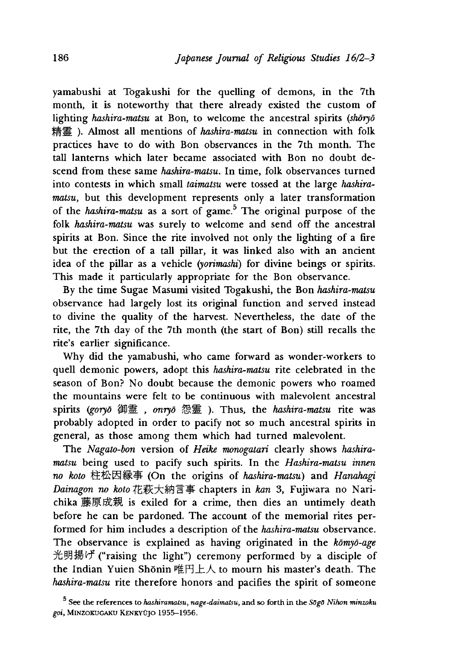yamabushi at Togakushi for the quelling of demons, in the 7th month, it is noteworthy that there already existed the custom of lighting *hashira-matsu* at Bon, to welcome the ancestral spirits *(shoryo*) 精霊). Almost all mentions of *hashira-matsu* in connection with folk practices have to do with Bon observances in the 7th month. The tall lanterns which later became associated with Bon no doubt descend from these same *hashira-matsu.* In time, folk observances turned into contests in which small *taimatsu* were tossed at the large *hashiramatsu*, but this development represents only a later transformation of the *hashira-matsu* as a sort of game.5 The original purpose of the folk *hashira-matsu* was surely to welcome and send off the ancestral spirits at Bon. Since the rite involved not only the lighting of a fire but the erection of a tall pillar, it was linked also with an ancient idea of the pillar as a vehicle *(yorimashi)* for divine beings or spirits. This made it particularly appropriate for the Bon observance.

By the time Sugae Masumi visited Togakushi, the Bon *hashira-matsu* observance had largely lost its original function and served instead to divine the quality of the harvest. Nevertheless, the date of the rite, the 7th day of the 7th month (the start of Bon) still recalls the rite's earlier significance.

Why did the yamabushi, who came forward as wonder-workers to quell demonic powers, adopt this *hashira-matsu* rite celebrated in the season of Bon? No doubt because the demonic powers who roamed the mountains were felt to be continuous with malevolent ancestral spirits (goryō 御霊, onryō 怨霊). Thus, the *hashira-matsu* rite was probably adopted in order to pacify not so much ancestral spirits in general, as those among them which had turned malevolent.

The *Nagato-bon* version of *Heike monogatari* clearly shows *hashiramatsu* being used to pacify such spirits. In the *Hashira-matsu innen no koto* 柱松因縁事(On the origins of *hashira-matsu)* and *Hanahagi Dainagon no* Ao幻花萩大糸円目事 chapters in *kan* 3, Fujiwara no Narichika 藤原成親 is exiled for a crime, then dies an untimely death before he can be pardoned. The account of the memorial rites performed for him includes a description of the *hashira-matsu* observance. The observance is explained as having originated in the *komyo-age* 光明揚げ ("raising the light") ceremony performed by a disciple of the Indian Yuien Shōnin 唯円上人 to mourn his master's death. The *hashira-matsu* rite therefore honors and pacifies the spirit of someone

<sup>5</sup> See the references to *hashiramatsUy nage-daimatsu,* and so forth in the *SSgS Nihon minzoku* goi, MINZOKUGAKU KENKYÜJO 1955-1956.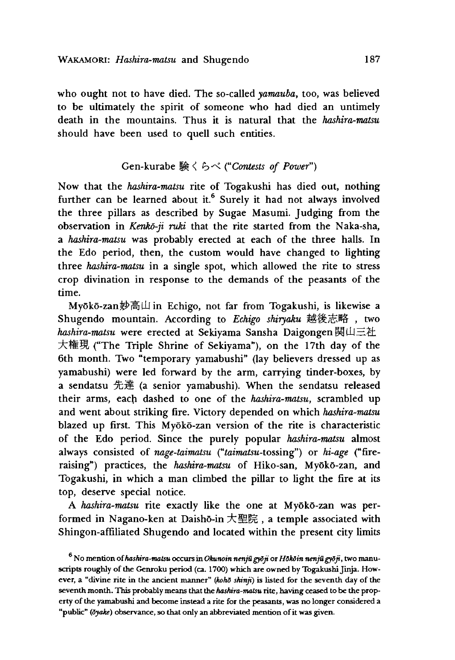who ought not to have died. The so-called *yamauba,* too, was believed to be ultimately the spirit of someone who had died an untimely death in the mountains. Thus it is natural that the *hashira-matsu* should have been used to quell such entities.

# Gen-kurabe くらべ *Contests of Power")*

Now that the *hashira-matsu* rite of Togakushi has died out, nothing further can be learned about it. $6$  Surely it had not always involved the three pillars as described by Sugae Masumi. Judging from the observation in *Kenko-ji ruki* that the rite started from the Naka-sha, a *hashira-matsu* was probably erected at each of the three halls. In the Edo period, then, the custom would have changed to lighting three *hashira-matsu* in a single spot, which allowed the rite to stress crop divination in response to the demands of the peasants of the time.

My6k6-zan妙局山 in Echigo, not far from Togakushi, is likewise a Shugendo mountain. According to *Echigo shiryaku* 越後志略, two *hashira-matsu* were erected at Sekiyama Sansha Daigongen 関山三社 大権現 ("The Triple Shrine of Sekiyama"), on the 17th day of the 6th month. Two "temporary yamabushi" (lay believers dressed up as yamabushi) were led forward by the arm, carrying tinder-boxes, by a sendatsu 先達 (a senior yamabushi). When the sendatsu released their arms, each dashed to one of the *hashira-matsu,* scrambled up and went about striking fire. Victory depended on which *hashira-matsu* blazed up first. This Myōkō-zan version of the rite is characteristic of the Edo period. Since the purely popular *hashira-matsu* almost always consisted of *nage-taimatsu* ("taimatsu-tossing") or *hi-age* ("fireraising") practices, the *hashira-matsu* of Hiko-san, Myoko-zan, and Togakushi, in which a man climbed the pillar to light the fire at its top, deserve special notice.

A *hashira-matsu* rite exactly like the one at Myoko-zan was performed in Nagano-ken at Daishō-in 大聖院, a temple associated with Shingon-affiliated Shugendo and located within the present city limits

<sup>&</sup>lt;sup>6</sup> No mention of *hashira-matsu occurs in Okunoin nenjū gyōji* or *Hōkōin nenjū gyōji*, two manuscripts roughly of the Genroku period (ca. 1700) which are owned by Togakushi Jinja. However, a "divine rite in the ancient manner" *(kohd shinji)* is listed for the seventh day of the seventh month. This probably means that the *hashira-matsu* rite, having ceased to be the property of the yamabushi and become instead a rite for the peasants, was no longer considered a "public" *(Syahe)* observance, so that only an abbreviated mention of it was given.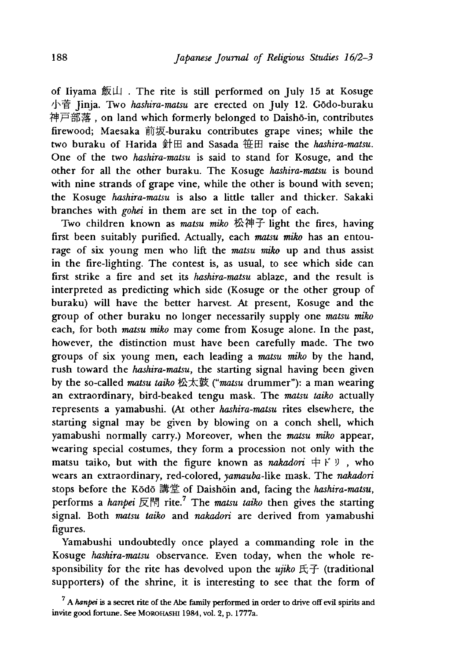of Iiyama 飯山 . The rite is still performed on July 15 at Kosuge 小菅 Jinja. Two *hashira-matsu* are erected on July 12. Godo-buraku 神尸部落,on land which formerly belonged to Daisho-in, contributes firewood; Maesaka 前坂-buraku contributes grape vines; while the two buraku of Harida 針田 and Sasada 粧田 raise the *hashira-matsu.* One of the two *hashira-matsu* is said to stand for Kosuge, and the other for all the other buraku. The Kosuge *hashira-matsu* is bound with nine strands of grape vine, while the other is bound with seven; the Kosuge *hashira-matsu* is also a little taller and thicker. Sakaki branches with *gohei* in them are set in the top of each.

Two children known as *matsu miko* 松神子 light the fires, having first been suitably purified. Actually, each *matsu miko* has an entourage of six young men who lift the *matsu miko* up and thus assist in the fire-lighting. The contest is, as usual, to see which side can first strike a fire and set its *hashira-matsu* ablaze, and the result is interpreted as predicting which side (Kosuge or the other group of buraku) will have the better harvest. At present, Kosuge and the group of other buraku no longer necessarily supply one *matsu miko* each, for both *matsu miko* may come from Kosuge alone. In the past, however, the distinction must have been carefully made. The two groups of six young men, each leading a *matsu miko* by the hand, rush toward the *hashira-matsu*, the starting signal having been given by the so-called *matsu taiko* 松太鼓*(''matsu* drummer"〉: a man wearing an extraordinary, bird-beaked tengu mask. The *matsu taiko* actually represents a yamabushi. (At other *hashira-matsu* rites elsewhere, the starting signal may be given by blowing on a conch shell, which yamabushi normally carry.) Moreover, when the *matsu miko* appear, wearing special costumes, they form a procession not only with the matsu taiko, but with the figure known as *nakadori*  $\# \times \mathcal{Y}$ , who wears an extraordinary, red-colored, *yamauba-likc* mask. The *nakadori* stops before the Kodo 講堂 of Daishoin and, facing the *hashira-matsu,* performs a *hanpei* 反聞 rite.7 The *matsu taiko* then gives the starting signal. Both *matsu taiko* and *nakadori* are derived from yamabushi figures.

Yamabushi undoubtedly once played a commanding role in the Kosuge *hashira-matsu* observance. Even today, when the whole responsibility for the rite has devolved upon the  $ujiko$   $E \rightarrow$  (traditional supporters) of the shrine, it is interesting to see that the form of

 $^7$  A *hanpei* is a secret rite of the Abe family performed in order to drive off evil spirits and invite good fortune. See MOROHASHI 1984, vol. 2, p. 1777a.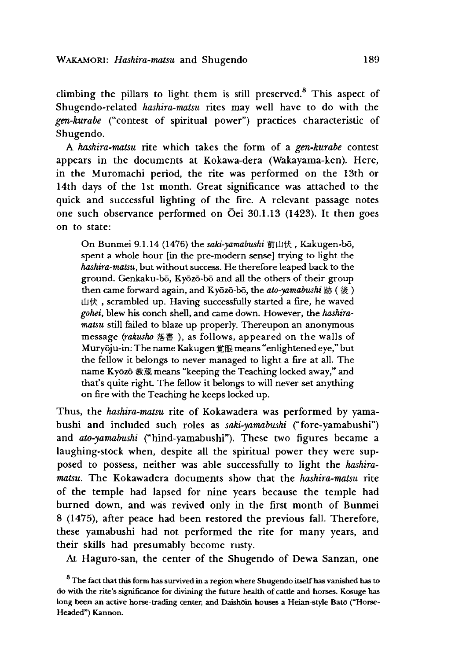climbing the pillars to light them is still preserved.<sup>8</sup> This aspect of Shugendo-related *hashira-matsu* rites may well have to do with the gen-kurabe ("contest of spiritual power") practices characteristic of Shugendo.

A *hashira-matsu* rite which takes the form of a *gen-kurabe* contest appears in the documents at Kokawa-dera (Wakayama-ken). Here, in the Muromachi period, the rite was performed on the 13th or 14th days of the 1st month. Great significance was attached to the quick and successful lighting of the fire. A relevant passage notes one such observance performed on Oei 30,1.13 (1423). It then goes on to state:

On Bunmei 9.1.14 (1476) the *saki-yamabushi* 前山伏,Kakugen-b6, spent a whole hour [in the pre-modern sense] trying to light the *hashira-matsu,* but without success. He therefore leaped back to the ground. Genkaku-bō, Kyōzō-bō and all the others of their group then came forward again, and Kyozo-bo, the *ato-yamabushi* 跡 (後 ) 山伏 scrambled up. Having successfully started a fire, he waved gohei, blew his conch shell, and came down. However, the *hashiramatsu* still failed to blaze up properly. Thereupon an anonymous message (rakusho 落書), as follows, appeared on the walls of Muryoju-in: The name Kakugen 覚眼 means "enlightened eye," but the fellow it belongs to never managed to light a fire at all. The name Kyozo 教蔵 means "keeping the Teaching locked away," and that's quite right. The fellow it belongs to will never set anything on fire with the Teaching he keeps locked up.

Thus, the *hashira-matsu* rite of Kokawadera was performed by yamabushi and included such roles as *saki-yamabushi* ("fore-yamabushi") and *ato-yamabushi* ("hind-yamabushi"). These two figures became a laughing-stock when, despite all the spiritual power they were supposed to possess, neither was able successfully to light the *hashiramatsu.* The Kokawadera documents show that the *hashira-matsu* rite of the temple had lapsed for nine years because the temple had burned down, and was revived only in the first month of Bunmei 8 (1475), after peace had been restored the previous fall. Therefore, these yamabushi had not performed the rite for many years, and their skills had presumably become rusty.

At Haguro-san, the center of the Shugendo of Dewa Sanzan, one

 $8$  The fact that this form has survived in a region where Shugendo itself has vanished has to do with the rite's significance for divining the future health of cattle and horses. Kosuge has long been an active horse-trading center, and Daishoin houses a Heian-style Bato ("Horse-Headed") Kannon.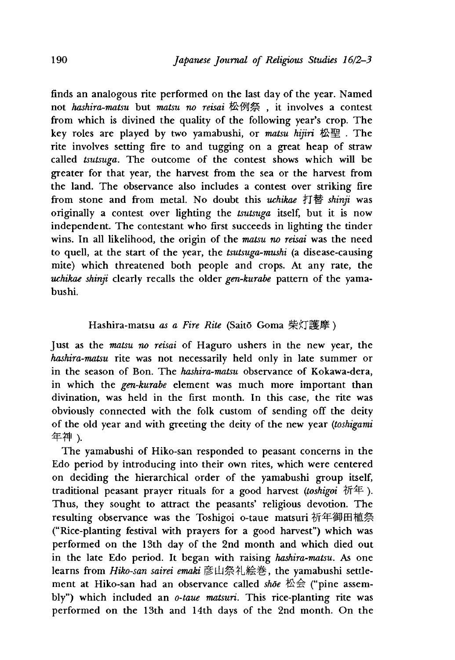finds an analogous rite performed on the last day of the year. Named not *hashira-matsu* but *matsu no reisai* 松例祭, it involves a contest from which is divined the quality of the following year's crop. The key roles are played by two yamabushi, or *matsu hijiri* 松 聖 . The rite involves setting fire to and tugging on a great heap of straw called *tsutsuga.* The outcome of the contest shows which will be greater for that year, the harvest from the sea or the harvest from the land. The observance also includes a contest over striking fire from stone and from metal. No doubt this *uchikae* 打替 *shinji* was originally a contest over lighting the *tsutsuga* itself, but it is now independent. The contestant who first succeeds in lighting the tinder wins. In all likelihood, the origin of the *matsu no reisai* was the need to quell, at the start of the year, the *tsutsuga-mushi* (a disease-causing mite) which threatened both people and crops. At any rate, the *uchikae shinji* clearly recalls the older *gen-kurabe* pattern of the yamabushi.

# Hashira-matsu *as a Fire Rite* (Saito Goma 柴灯護摩)

Just as the *matsu no reisai* of Haguro ushers in the new year, the *hashira-matsu* rite was not necessarily held only in late summer or in the season of Bon. The *hashira-matsu* observance of Kokawa-dera, in which the *gen-kurabe* element was much more important than divination, was held in the first month. In this case, the rite was obviously connected with the folk custom of sending off the deity of the old year and with greeting the deity of the new year *(toshigami* 年 神 *).*

The yamabushi of Hiko-san responded to peasant concerns in the Edo period by introducing into their own rites, which were centered on deciding the hierarchical order of the yamabushi group itself, traditional peasant prayer rituals for a good harvest *(toshigoi* 祈年*)•* Thus, they sought to attract the peasants' religious devotion. The resulting observance was the Toshigoi o-taue matsuri 祈年御田植祭 ("Rice-planting festival with prayers for a good harvest") which was performed on the 13th day of the 2nd month and which died out in the late Edo period. It began with raising *hashira-matsu.* As one learns from *Hiko-san sairei emaki* 彦山祭礼絵巻, the yamabushi settlement at Hiko-san had an observance called *shoe* 松会 ("pine assembly") which included an *o~taue matsuri.* This rice-planting rite was performed on the 13th and 14th days of the 2nd month. On the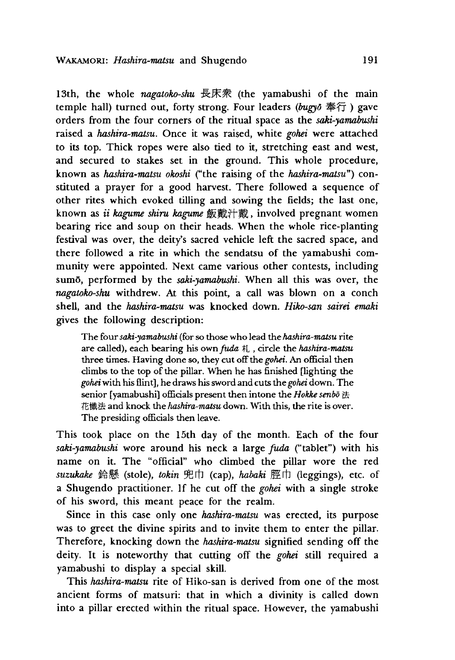13th, the whole *nagatoko-shu* 長床衆 (the yamabushi of the main temple hall) turned out, forty strong. Four leaders *(bugyo* 奉行) gave orders from the four corners of the ritual space as the *saki-yamabushi* raised a *hashira-matsu.* Once it was raised, white *gohei* were attached to its top. Thick ropes were also tied to it, stretching east and west, and secured to stakes set in the ground. This whole procedure, known as *hashira-matsu okoshi* ("the raising of the *hashira-matsu'')* constituted a prayer for a good harvest. There followed a sequence of other rites which evoked tilling and sowing the fields; the last one, known as *ii kagume shim kagume* 飯戴汁戴,involved pregnant women bearing rice and soup on their heads. When the whole rice-planting festival was over, the deity's sacred vehicle left the sacred space, and there followed a rite in which the sendatsu of the yamabushi community were appointed. Next came various other contests, including sumo, performed by the *saki-yamabushi.* When all this was over, the *nagatoko-shu* withdrew. At this point, a call was blown on a conch shell,and the *hashira-matsu* was knocked down. *Hiko-san sairei emaki* gives the following description:

] he four *saki-yamabushi* (for so those who lead the *hashira-matsu* rite are called), each bearing his own *fuda*  $\sharp$ , circle the *hashira-matsu* three times. Having done so, they cut off the *gohei.* An official then climbs to the top of the pillar. When he has finished [lighting the *gohei* with his flint], he draws his sword and cuts *the gohei* down. The senior [yamabushi] officials present then intone the *Hokke senbo* 法 花懺法 and knock the *hashira-matsu* down. With this, the rite is over. The presiding officials then leave.

This took place on the 15th day of the month. Each of the four saki-yamabushi wore around his neck a large *fuda* ("tablet") with his name on it. The "official" who climbed the pillar wore the red suzukake 鈴懸 (stole), tokin 兜巾 (cap), habaki 脛巾 (leggings), etc. of a Shugendo practitioner. If he cut off the *gohei* with a single stroke of his sword, this meant peace for the realm.

Since in this case only one *hashira-matsu* was erected, its purpose was to greet the divine spirits and to invite them to enter the pillar. Therefore, knocking down the *hashira-matsu* signified sending off the deity. It is noteworthy that cutting off the *gohei* still required a yamabushi to display a special skill.

This *hashira-matsu* rite of Hiko-san is derived from one of the most ancient forms of matsuri: that in which a divinity is called down into a pillar erected within the ritual space. However, the yamabushi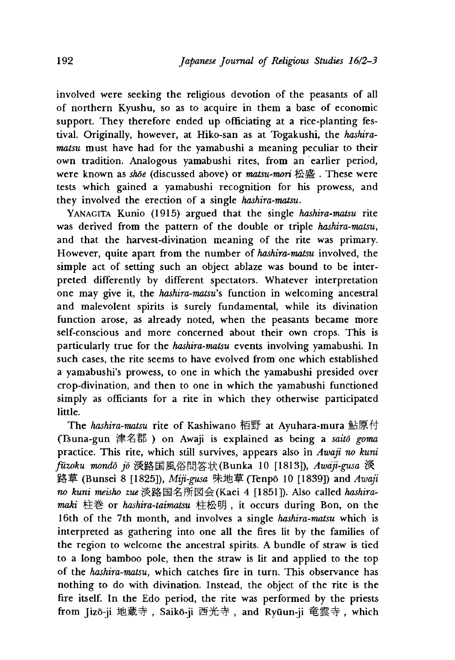involved were seeking the religious devotion of the peasants of all of northern Kyushu, so as to acquire in them a base of economic support. They therefore ended up officiating at a rice-planting festival. Originally, however, at Hiko-san as at Togakushi, the *hashiramatsu* must have had for the yamabushi a meaning peculiar to their own tradition. Analogous yamabushi rites, from an earlier period, were known as *shoe* (discussed above) or *matsu-mori* 松 盛 . These were tests which gained a yamabushi recognition for his prowess, and they involved the erection of a single *hashira-matsu.*

YANAGITA Kunio (1915) argued that the single *hashira-matsu* rite was derived from the pattern of the double or triple *hashira-matsu*, and that the harvest-divination meaning of the rite was primary. However, quite apart from the number of *hashira-matsu* involved, the simple act of setting such an object ablaze was bound to be interpreted differently by different spectators. Whatever interpretation one may give it, the *hasnira-matsu's* function in welcoming ancestral and malevolent spirits is surely fundamental, while its divination function arose, as already noted, when the peasants became more self-conscious and more concerned about their own crops. This is particularly true for the *hashira-matsu* events involving yamabushi. In such cases, the rite seems to have evolved from one which established a yamabushi's prowess, to one in which the yamabushi presided over crop-divination, and then to one in which the yamabushi functioned simply as officiants for a rite in which they otherwise participated little.

The *hashira-matsu* rite of Kashiwano 栢野 at Ayuhara-mura 鮎原付 (Tsuna-gun 津名郡) on Awaji is explained as being a *saitō goma* practice. This rite, which still survives, appears also in *Awaji no kuni* fūzoku mondō jō 淡路国風俗問答状(Bunka 10 [1813]), *Awaji-gusa* 淡 路草 (Bunsei 8 [1825]), *Miji-gusa* 味地草 (Tenpō 10 [1839]) and *Awaji no kuni meisho* zwe 淡路国名所図会(Kaei 4 [1851]). Also called *hashiramaki* 柱卷 or *hashira-taimatsu* 柱松明,it occurs during Bon, on the 16th of the 7th month, and involves a single *hashira-matsu* which is interpreted as gathering into one all the fires lit by the families of the region to welcome the ancestral spirits. A bundle of straw is tied to a long bamboo pole, then the straw is lit and applied to the top of the *hashira-matsu,* which catches fire in turn. This observance has nothing to do with divination. Instead, the object of the rite is the fire itself. In the Edo period, the rite was performed by the priests from Jizō-ji 地蔵寺, Saikō-ji 西光寺, and Ryūun-ji 竜雲寺, which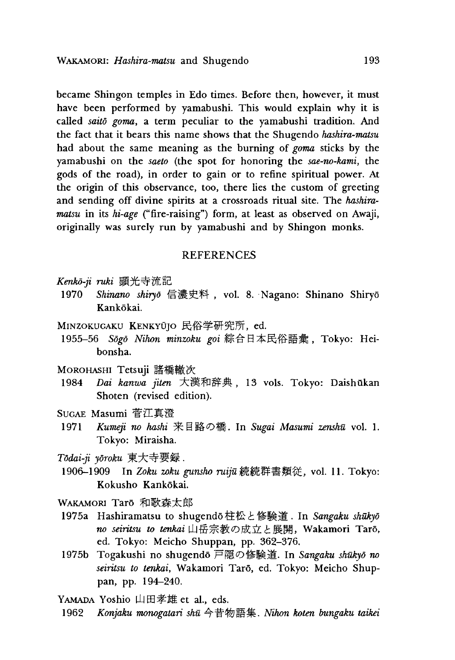became Shingon temples in Edo times. Before then, however, it must have been performed by yamabushi. This would explain why it is called *saito goma'* a term peculiar to the yamabushi tradition. And the fact that it bears this name shows that the Shugendo *hashira-matsu* had about the same meaning as the burning of *goma* sticks by the yamabushi on the *saeto* (the spot for honoring the *sae-no-kami*, the gods of the road), in order to gain or to refine spiritual power. At the origin of this observance, too, there lies the custom of greeting and sending off divine spirits at a crossroads ritual site. The *hashiramatsu* in its *hi-age* ("fire-raising") form, at least as observed on Awaji, originally was surely run by yamabushi and by Shingon monks.

#### REFERENCES

*Kenko-ji ruki*顕光寺流記

- 1970 Shinano shiryō 信濃史料, vol. 8. Nagano: Shinano Shiryō Kankōkai.
- MINZOKUGAKU KENKYŪJO 民俗学研究所, ed.
- 1955-56 Sogo Nihon minzoku goi 綜合日本民俗語彙, Tokyo: Heibonsha.
- Morohashi Tetsuji 諸橋轍次
- 1984 *Dai kanwa jiten* 大漢和辞典,13 vols. Tokyo: Daishukan Shoten (revised edition).
- Sugae Masumi 菅江真澄
- 1971 *Kumeji no hashi* 来目路の橋. In *Sugai Masumi zenshu* vol.1. Tokyo: Miraisha.
- *Todai-ji yoroku*東大寺要録.
- 1906-1909 In Zoku zoku gunsho ruijū 続続群書類従, vol. 11. Tokyo: Kokusho Kankokai.

WAKAMORI Tarō 和歌森太郎

- 1975a Hashiramatsu to shugend6柱松と修験道. In *Sangaku shukyd* no seiritsu to tenkai山岳宗教の成立と展開, Wakamori Tarō, ed. Tokyo: Meicho Shuppan, pp. 362-376.
- 1975b Togakushi no shugendo 尸隠の修験道. In *Sangaku shukyd no seintsu to tenkai,* Wakamori Taro, ed. Tokyo: Meicho Shuppan, pp. 194-240.

Yamada Yoshio 山田孝雄 et al., eds.

1962 *Konjaku monogatari shu* 今昔物語 *. Nihon hoten bungaku taikei*